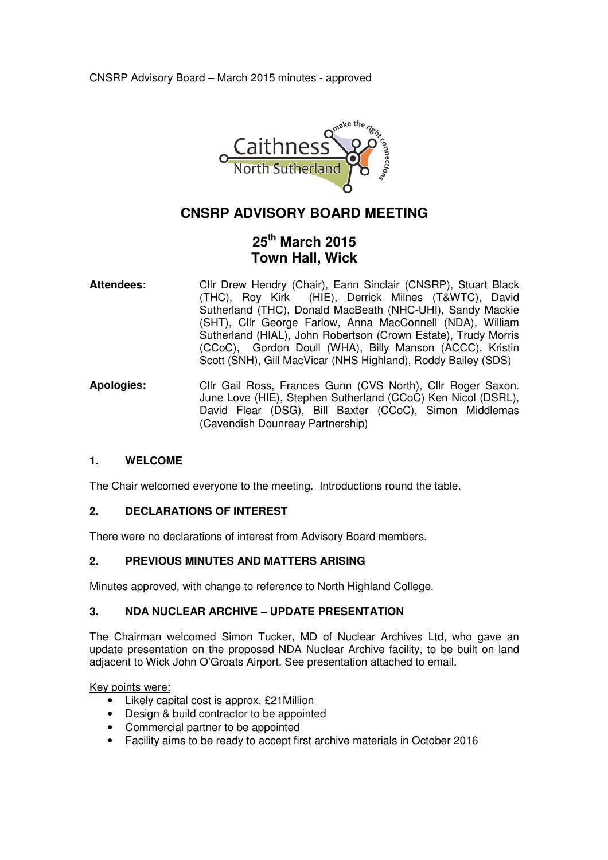

# **CNSRP ADVISORY BOARD MEETING**

# **25th March 2015 Town Hall, Wick**

- Attendees: Cllr Drew Hendry (Chair), Eann Sinclair (CNSRP), Stuart Black (THC), Roy Kirk (HIE), Derrick Milnes (T&WTC), David Sutherland (THC), Donald MacBeath (NHC-UHI), Sandy Mackie (SHT), Cllr George Farlow, Anna MacConnell (NDA), William Sutherland (HIAL), John Robertson (Crown Estate), Trudy Morris (CCoC), Gordon Doull (WHA), Billy Manson (ACCC), Kristin Scott (SNH), Gill MacVicar (NHS Highland), Roddy Bailey (SDS)
- **Apologies:** Cllr Gail Ross, Frances Gunn (CVS North), Cllr Roger Saxon. June Love (HIE), Stephen Sutherland (CCoC) Ken Nicol (DSRL), David Flear (DSG), Bill Baxter (CCoC), Simon Middlemas (Cavendish Dounreay Partnership)

## **1. WELCOME**

The Chair welcomed everyone to the meeting. Introductions round the table.

## **2. DECLARATIONS OF INTEREST**

There were no declarations of interest from Advisory Board members.

## **2. PREVIOUS MINUTES AND MATTERS ARISING**

Minutes approved, with change to reference to North Highland College.

## **3. NDA NUCLEAR ARCHIVE – UPDATE PRESENTATION**

The Chairman welcomed Simon Tucker, MD of Nuclear Archives Ltd, who gave an update presentation on the proposed NDA Nuclear Archive facility, to be built on land adjacent to Wick John O'Groats Airport. See presentation attached to email.

Key points were:

- Likely capital cost is approx. £21Million
- Design & build contractor to be appointed
- Commercial partner to be appointed
- Facility aims to be ready to accept first archive materials in October 2016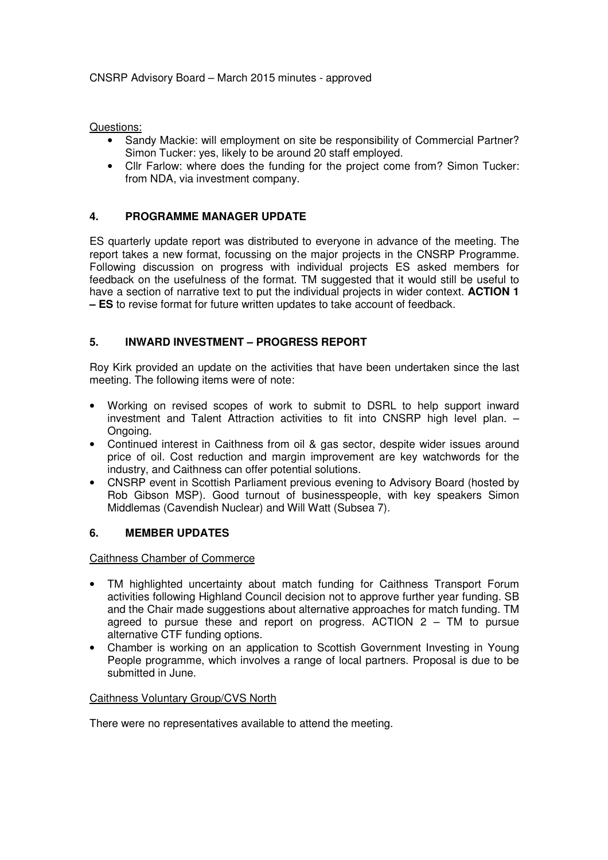Questions:

- Sandy Mackie: will employment on site be responsibility of Commercial Partner? Simon Tucker: yes, likely to be around 20 staff employed.
- Cllr Farlow: where does the funding for the project come from? Simon Tucker: from NDA, via investment company.

## **4. PROGRAMME MANAGER UPDATE**

ES quarterly update report was distributed to everyone in advance of the meeting. The report takes a new format, focussing on the major projects in the CNSRP Programme. Following discussion on progress with individual projects ES asked members for feedback on the usefulness of the format. TM suggested that it would still be useful to have a section of narrative text to put the individual projects in wider context. **ACTION 1 – ES** to revise format for future written updates to take account of feedback.

## **5. INWARD INVESTMENT – PROGRESS REPORT**

Roy Kirk provided an update on the activities that have been undertaken since the last meeting. The following items were of note:

- Working on revised scopes of work to submit to DSRL to help support inward investment and Talent Attraction activities to fit into CNSRP high level plan. – Ongoing.
- Continued interest in Caithness from oil & gas sector, despite wider issues around price of oil. Cost reduction and margin improvement are key watchwords for the industry, and Caithness can offer potential solutions.
- CNSRP event in Scottish Parliament previous evening to Advisory Board (hosted by Rob Gibson MSP). Good turnout of businesspeople, with key speakers Simon Middlemas (Cavendish Nuclear) and Will Watt (Subsea 7).

#### **6. MEMBER UPDATES**

Caithness Chamber of Commerce

- TM highlighted uncertainty about match funding for Caithness Transport Forum activities following Highland Council decision not to approve further year funding. SB and the Chair made suggestions about alternative approaches for match funding. TM agreed to pursue these and report on progress. ACTION 2 – TM to pursue alternative CTF funding options.
- Chamber is working on an application to Scottish Government Investing in Young People programme, which involves a range of local partners. Proposal is due to be submitted in June.

## Caithness Voluntary Group/CVS North

There were no representatives available to attend the meeting.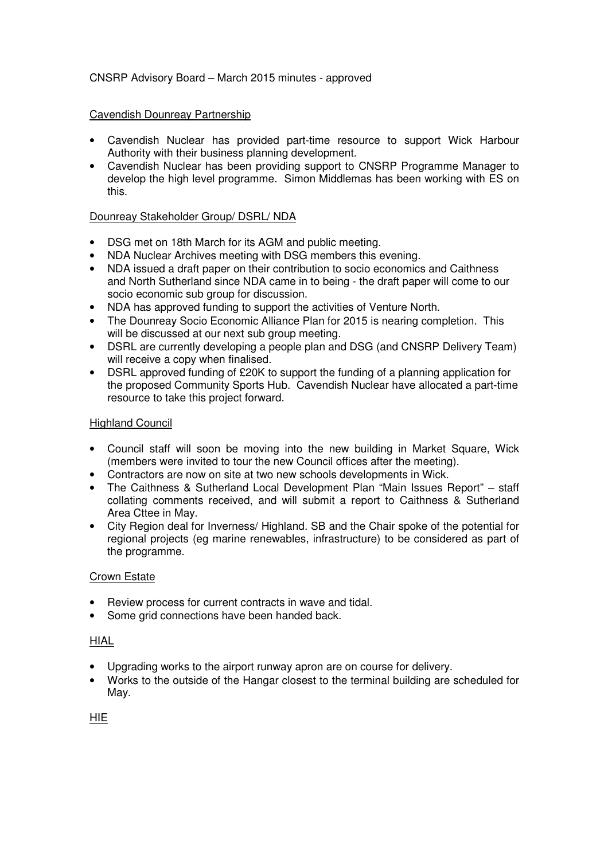## CNSRP Advisory Board – March 2015 minutes - approved

#### Cavendish Dounreay Partnership

- Cavendish Nuclear has provided part-time resource to support Wick Harbour Authority with their business planning development.
- Cavendish Nuclear has been providing support to CNSRP Programme Manager to develop the high level programme. Simon Middlemas has been working with ES on this.

## Dounreay Stakeholder Group/ DSRL/ NDA

- DSG met on 18th March for its AGM and public meeting.
- NDA Nuclear Archives meeting with DSG members this evening.
- NDA issued a draft paper on their contribution to socio economics and Caithness and North Sutherland since NDA came in to being - the draft paper will come to our socio economic sub group for discussion.
- NDA has approved funding to support the activities of Venture North.
- The Dounreay Socio Economic Alliance Plan for 2015 is nearing completion. This will be discussed at our next sub group meeting.
- DSRL are currently developing a people plan and DSG (and CNSRP Delivery Team) will receive a copy when finalised.
- DSRL approved funding of £20K to support the funding of a planning application for the proposed Community Sports Hub. Cavendish Nuclear have allocated a part-time resource to take this project forward.

#### Highland Council

- Council staff will soon be moving into the new building in Market Square, Wick (members were invited to tour the new Council offices after the meeting).
- Contractors are now on site at two new schools developments in Wick.
- The Caithness & Sutherland Local Development Plan "Main Issues Report" staff collating comments received, and will submit a report to Caithness & Sutherland Area Cttee in May.
- City Region deal for Inverness/ Highland. SB and the Chair spoke of the potential for regional projects (eg marine renewables, infrastructure) to be considered as part of the programme.

## Crown Estate

- Review process for current contracts in wave and tidal.
- Some grid connections have been handed back.

## HIAL

- Upgrading works to the airport runway apron are on course for delivery.
- Works to the outside of the Hangar closest to the terminal building are scheduled for May.

## HIE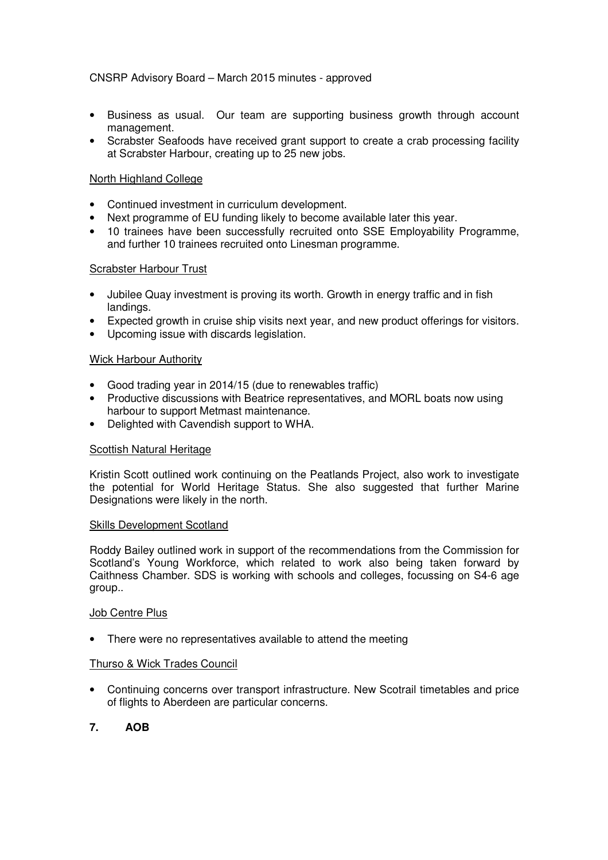## CNSRP Advisory Board – March 2015 minutes - approved

- Business as usual. Our team are supporting business growth through account management.
- Scrabster Seafoods have received grant support to create a crab processing facility at Scrabster Harbour, creating up to 25 new jobs.

#### North Highland College

- Continued investment in curriculum development.
- Next programme of EU funding likely to become available later this year.
- 10 trainees have been successfully recruited onto SSE Employability Programme, and further 10 trainees recruited onto Linesman programme.

#### Scrabster Harbour Trust

- Jubilee Quay investment is proving its worth. Growth in energy traffic and in fish landings.
- Expected growth in cruise ship visits next year, and new product offerings for visitors.
- Upcoming issue with discards legislation.

#### Wick Harbour Authority

- Good trading year in 2014/15 (due to renewables traffic)
- Productive discussions with Beatrice representatives, and MORL boats now using harbour to support Metmast maintenance.
- Delighted with Cavendish support to WHA.

#### Scottish Natural Heritage

Kristin Scott outlined work continuing on the Peatlands Project, also work to investigate the potential for World Heritage Status. She also suggested that further Marine Designations were likely in the north.

#### Skills Development Scotland

Roddy Bailey outlined work in support of the recommendations from the Commission for Scotland's Young Workforce, which related to work also being taken forward by Caithness Chamber. SDS is working with schools and colleges, focussing on S4-6 age group..

#### Job Centre Plus

• There were no representatives available to attend the meeting

#### Thurso & Wick Trades Council

• Continuing concerns over transport infrastructure. New Scotrail timetables and price of flights to Aberdeen are particular concerns.

## **7. AOB**